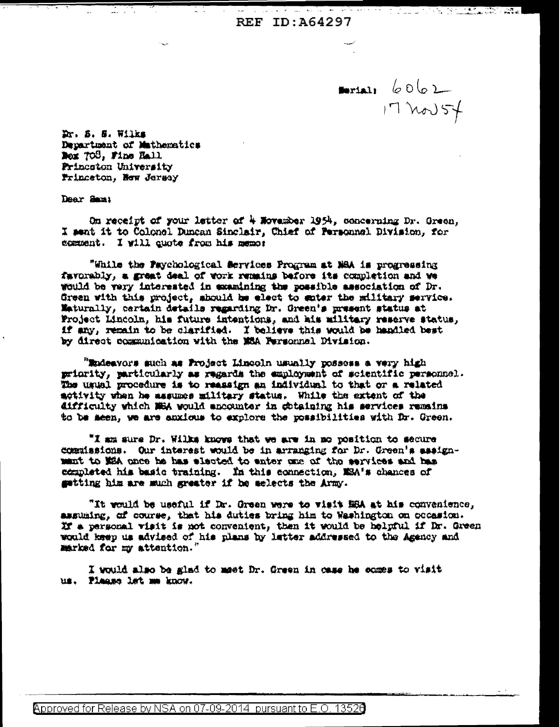**REF ID: A64297** 

 $\frac{1}{17}$   $17$   $100$   $57$ 

الطائف أكار

Dr. S. S. Wilks Department of Mathematics Nox 708, Fine Hall Princeton University Princeton, New Jersey

Dear Sam:

On receipt of your letter of 4 November 1954, concerning Dr. Green, I sent it to Colonel Duncan Sinclair, Chief of Personnel Division, for comment. I will quote from his memor

"While the Psychological Services Program at NSA is progressing favorably, a great deal of work remains before its completion and we would be very interested in examining the possible association of Dr. Green with this project, should be elect to sater the military service. Maturally, certain details regarding for. Green's present status at Project Lincoln, his future intentions, and his military reserve status, if any, remain to be clarified. I believe this would be handled best by direct communication with the MCA Personnal Division.

"Endeavors such as Project Lincoln usually possess a very high priority, particularly as regards the employment of scientific personnel. The usual procedure is to reassign an individual to that or a related activity when he assumes military status. While the extent of the difficulty which NEA would encounter in stituting his services remains to be meen, we are anxious to explore the possibilities with Dr. Green.

"I am sure Dr. Wilks knows that we are in mo position to secure commissions. Our interest would be in arranging for Dr. Green's assignment to MEA once he has elected to enter one of the services and has completed his basic training. In this connection, MSA's chances of getting him are much greater if he selects the Army.

"It would be useful if Dr. Green were to visit HSA at his convenience, assuaing, of course, that his duties bring him to Washington on occasion. If a personal visit is not convenient, then it would be helpful if Dr. Green would keep us advised of his plans by letter addressed to the Agency and marked for my attention.

I would also be glad to meet Dr. Green in case he comes to visit us. Plaase lat me know.